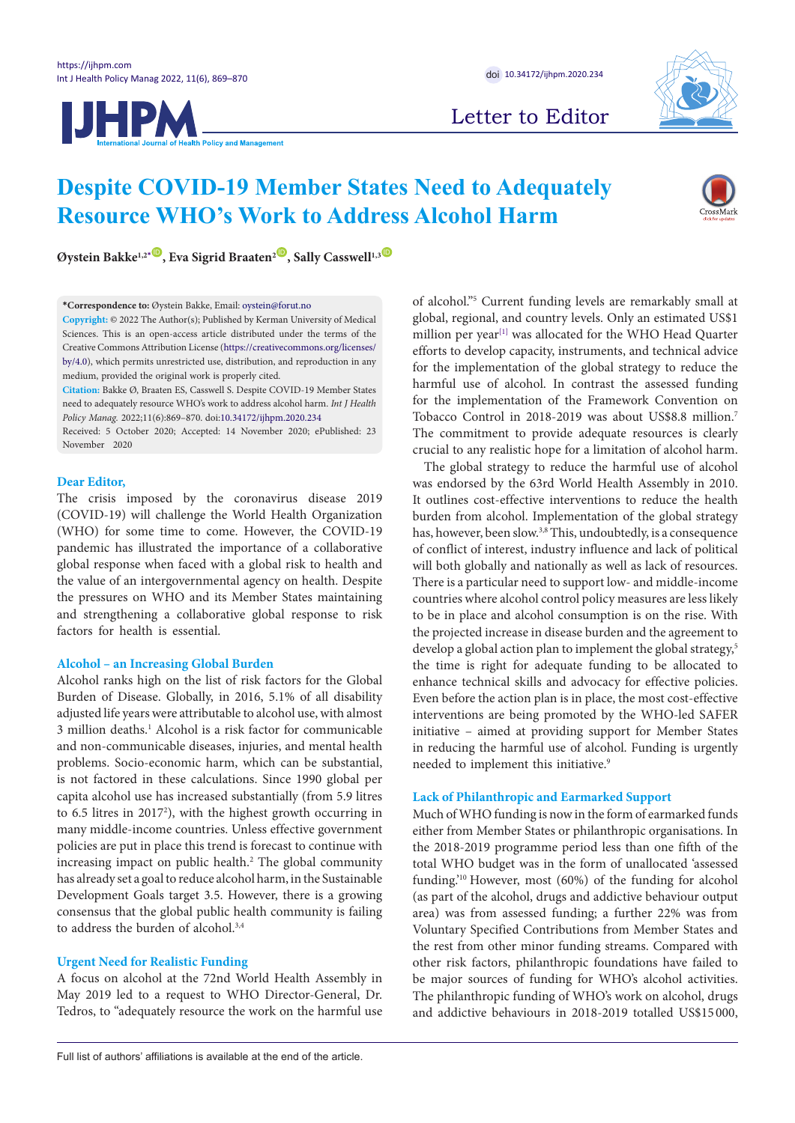**IJHPM** 



Letter to Editor

# **Despite COVID-19 Member States Need to Adequately Resource WHO's Work to Address Alcohol Harm**



**Øystein Bakke<sup>1,2<sup>[\\*](#page-0-0)</sup><sup>1</sup>, Eva Sigrid Braaten<sup>2<sup>1</sup>, Sally Casswell<sup>1,3<sup>1</sup>**</sup></sup></sup>

**Copyright:** © 2022 The Author(s); Published by Kerman University of Medical Sciences. This is an open-access article distributed under the terms of the Creative Commons Attribution License ([https://creativecommons.org/licenses/](https://creativecommons.org/licenses/by/4.0) [by/4.0](https://creativecommons.org/licenses/by/4.0)), which permits unrestricted use, distribution, and reproduction in any medium, provided the original work is properly cited.

**Citation:** Bakke Ø, Braaten ES, Casswell S. Despite COVID-19 Member States need to adequately resource WHO's work to address alcohol harm. *Int J Health Policy Manag.* 2022;11(6):869–870. doi[:10.34172/ijhpm.2020.234](https://doi.org/10.34172/ijhpm.2020.234 )

Received: 5 October 2020; Accepted: 14 November 2020; ePublished: 23 November 2020

## **Dear Editor,**

The crisis imposed by the coronavirus disease 2019 (COVID-19) will challenge the World Health Organization (WHO) for some time to come. However, the COVID-19 pandemic has illustrated the importance of a collaborative global response when faced with a global risk to health and the value of an intergovernmental agency on health. Despite the pressures on WHO and its Member States maintaining and strengthening a collaborative global response to risk factors for health is essential.

## **Alcohol – an Increasing Global Burden**

Alcohol ranks high on the list of risk factors for the Global Burden of Disease. Globally, in 2016, 5.1% of all disability adjusted life years were attributable to alcohol use, with almost 3 million deaths.1 Alcohol is a risk factor for communicable and non-communicable diseases, injuries, and mental health problems. Socio-economic harm, which can be substantial, is not factored in these calculations. Since 1990 global per capita alcohol use has increased substantially (from 5.9 litres to 6.5 litres in 2017<sup>2</sup>), with the highest growth occurring in many middle-income countries. Unless effective government policies are put in place this trend is forecast to continue with increasing impact on public health.2 The global community has already set a goal to reduce alcohol harm, in the Sustainable Development Goals target 3.5. However, there is a growing consensus that the global public health community is failing to address the burden of alcohol.<sup>3,4</sup>

# **Urgent Need for Realistic Funding**

A focus on alcohol at the 72nd World Health Assembly in May 2019 led to a request to WHO Director-General, Dr. Tedros, to "adequately resource the work on the harmful use

of alcohol."5 Current funding levels are remarkably small at global, regional, and country levels. Only an estimated US\$1 million per year<sup>[1]</sup> was allocated for the WHO Head Quarter efforts to develop capacity, instruments, and technical advice for the implementation of the global strategy to reduce the harmful use of alcohol. In contrast the assessed funding for the implementation of the Framework Convention on Tobacco Control in 2018-2019 was about US\$8.8 million.7 The commitment to provide adequate resources is clearly crucial to any realistic hope for a limitation of alcohol harm.

The global strategy to reduce the harmful use of alcohol was endorsed by the 63rd World Health Assembly in 2010. It outlines cost-effective interventions to reduce the health burden from alcohol. Implementation of the global strategy has, however, been slow.<sup>3,8</sup> This, undoubtedly, is a consequence of conflict of interest, industry influence and lack of political will both globally and nationally as well as lack of resources. There is a particular need to support low- and middle-income countries where alcohol control policy measures are less likely to be in place and alcohol consumption is on the rise. With the projected increase in disease burden and the agreement to develop a global action plan to implement the global strategy,<sup>5</sup> the time is right for adequate funding to be allocated to enhance technical skills and advocacy for effective policies. Even before the action plan is in place, the most cost-effective interventions are being promoted by the WHO-led SAFER initiative – aimed at providing support for Member States in reducing the harmful use of alcohol. Funding is urgently needed to implement this initiative.<sup>9</sup>

## **Lack of Philanthropic and Earmarked Support**

Much of WHO funding is now in the form of earmarked funds either from Member States or philanthropic organisations. In the 2018-2019 programme period less than one fifth of the total WHO budget was in the form of unallocated 'assessed funding.'10 However, most (60%) of the funding for alcohol (as part of the alcohol, drugs and addictive behaviour output area) was from assessed funding; a further 22% was from Voluntary Specified Contributions from Member States and the rest from other minor funding streams. Compared with other risk factors, philanthropic foundations have failed to be major sources of funding for WHO's alcohol activities. The philanthropic funding of WHO's work on alcohol, drugs and addictive behaviours in 2018-2019 totalled US\$15 000,

<span id="page-0-0"></span>**<sup>\*</sup>Correspondence to:** Øystein Bakke, Email: oystein@forut.no